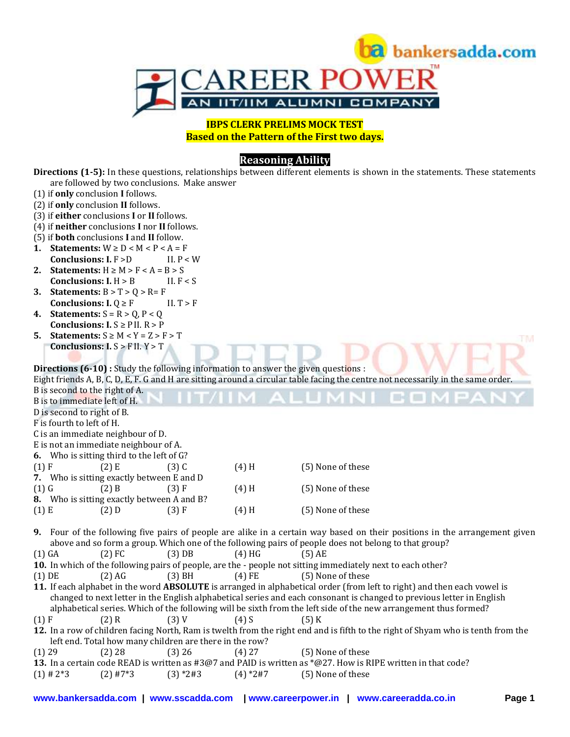

**IBPS CLERK PRELIMS MOCK TEST Based on the Pattern of the First two days.**

# **Reasoning Ability**

**Directions (1-5):** In these questions, relationships between different elements is shown in the statements. These statements are followed by two conclusions. Make answer

|             | (1) if only conclusion I follows.                                                   |             |            |                                                                                                                                  |
|-------------|-------------------------------------------------------------------------------------|-------------|------------|----------------------------------------------------------------------------------------------------------------------------------|
|             | (2) if only conclusion II follows.                                                  |             |            |                                                                                                                                  |
|             | (3) if either conclusions I or II follows.                                          |             |            |                                                                                                                                  |
|             | (4) if neither conclusions I nor II follows.                                        |             |            |                                                                                                                                  |
|             | (5) if <b>both</b> conclusions I and II follow.                                     |             |            |                                                                                                                                  |
|             | 1. Statements: $W \ge D < M < P < A = F$                                            |             |            |                                                                                                                                  |
|             | <b>Conclusions: I. F &gt;D</b>                                                      | II. $P < W$ |            |                                                                                                                                  |
|             | 2. Statements: $H \ge M > F < A = B > S$                                            |             |            |                                                                                                                                  |
|             | Conclusions: $I. H > B$                                                             | II. $F < S$ |            |                                                                                                                                  |
|             | 3. Statements: $B > T > Q > R = F$                                                  |             |            |                                                                                                                                  |
|             | <b>Conclusions: I.</b> $Q \geq F$                                                   | II. $T > F$ |            |                                                                                                                                  |
|             | 4. Statements: $S = R > Q$ , $P < Q$                                                |             |            |                                                                                                                                  |
|             | <b>Conclusions:</b> $I.S \geq P II. R > P$                                          |             |            |                                                                                                                                  |
| 5.          | <b>Statements:</b> $S \ge M < Y = Z > F > T$                                        |             |            |                                                                                                                                  |
|             | Conclusions: $I.S > F II. Y > T$                                                    |             |            |                                                                                                                                  |
|             |                                                                                     |             |            |                                                                                                                                  |
|             |                                                                                     |             |            |                                                                                                                                  |
|             | Directions (6-10) : Study the following information to answer the given questions : |             |            |                                                                                                                                  |
|             |                                                                                     |             |            | Eight friends A, B, C, D, E, F. G and H are sitting around a circular table facing the centre not necessarily in the same order. |
|             | B is second to the right of A.                                                      |             |            |                                                                                                                                  |
|             | B is to immediate left of H.                                                        |             |            |                                                                                                                                  |
|             | D is second to right of B.                                                          |             |            |                                                                                                                                  |
|             | F is fourth to left of H.                                                           |             |            |                                                                                                                                  |
|             | C is an immediate neighbour of D.                                                   |             |            |                                                                                                                                  |
|             | E is not an immediate neighbour of A.                                               |             |            |                                                                                                                                  |
|             | 6. Who is sitting third to the left of G?                                           |             |            |                                                                                                                                  |
| $(1)$ F     | $(2)$ E                                                                             | $(3)$ C     | $(4)$ H    | (5) None of these                                                                                                                |
|             | 7. Who is sitting exactly between E and D                                           |             |            |                                                                                                                                  |
| $(1)$ G     | $(2)$ B                                                                             | (3) F       | $(4)$ H    | (5) None of these                                                                                                                |
|             | 8. Who is sitting exactly between A and B?                                          |             |            |                                                                                                                                  |
| $(1)$ E     | $(2)$ D                                                                             | (3) F       | $(4)$ H    | (5) None of these                                                                                                                |
|             |                                                                                     |             |            |                                                                                                                                  |
|             |                                                                                     |             |            | 9. Four of the following five pairs of people are alike in a certain way based on their positions in the arrangement given       |
|             |                                                                                     |             |            | above and so form a group. Which one of the following pairs of people does not belong to that group?                             |
| $(1)$ GA    | $(2)$ FC                                                                            | $(3)$ DB    | $(4)$ HG   | $(5)$ AE                                                                                                                         |
|             |                                                                                     |             |            | 10. In which of the following pairs of people, are the - people not sitting immediately next to each other?                      |
| $(1)$ DE    | $(2)$ AG                                                                            | $(3)$ BH    | $(4)$ FE   | (5) None of these                                                                                                                |
|             |                                                                                     |             |            | 11. If each alphabet in the word ABSOLUTE is arranged in alphabetical order (from left to right) and then each vowel is          |
|             |                                                                                     |             |            | changed to next letter in the English alphabetical series and each consonant is changed to previous letter in English            |
|             |                                                                                     |             |            | alphabetical series. Which of the following will be sixth from the left side of the new arrangement thus formed?                 |
| $(1)$ F     | $(2)$ R                                                                             | $(3)$ V     | $(4)$ S    | $(5)$ K                                                                                                                          |
|             |                                                                                     |             |            | 12. In a row of children facing North, Ram is twelth from the right end and is fifth to the right of Shyam who is tenth from the |
|             | left end. Total how many children are there in the row?                             |             |            |                                                                                                                                  |
|             |                                                                                     | $(3)$ 26    |            |                                                                                                                                  |
| $(1)$ 29    | (2) 28                                                                              |             | $(4)$ 27   | (5) None of these                                                                                                                |
|             |                                                                                     |             |            | 13. In a certain code READ is written as #3@7 and PAID is written as *@27. How is RIPE written in that code?                     |
| $(1)$ # 2*3 | $(2)$ #7*3                                                                          | $(3)$ *2#3  | $(4)$ *2#7 | (5) None of these                                                                                                                |
|             |                                                                                     |             |            |                                                                                                                                  |
|             |                                                                                     |             |            |                                                                                                                                  |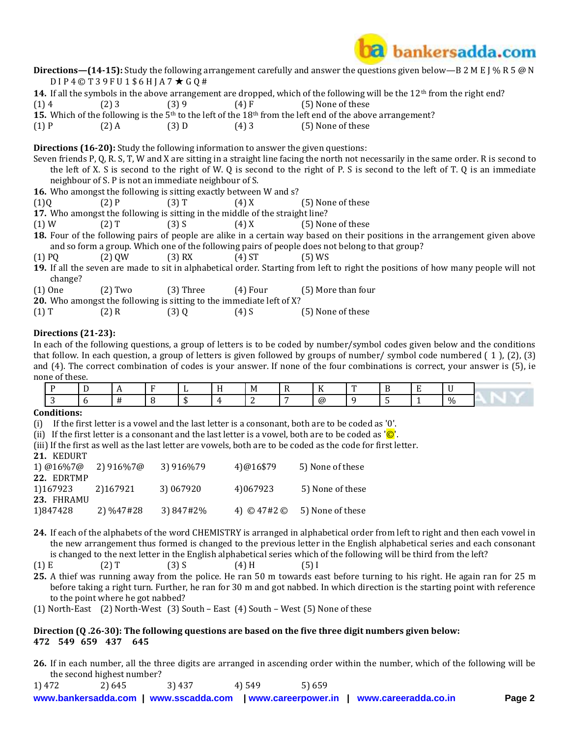

|          |         |                                                                              | <b>Directions—(14-15):</b> Study the following arrangement carefully and answer the questions given below—B 2 M E J % R 5 @ N          |
|----------|---------|------------------------------------------------------------------------------|----------------------------------------------------------------------------------------------------------------------------------------|
|          |         | $DIP4@T39FU1$6HIA7$ $\star$ GQ#                                              |                                                                                                                                        |
|          |         |                                                                              | 14. If all the symbols in the above arrangement are dropped, which of the following will be the $12th$ from the right end?             |
| (1)4     | $(2)$ 3 |                                                                              | $(3) 9$ $(4) F$ $(5) None of these$                                                                                                    |
|          |         |                                                                              | 15. Which of the following is the 5 <sup>th</sup> to the left of the 18 <sup>th</sup> from the left end of the above arrangement?      |
| $(1)$ P  |         | $(2)$ A $(3)$ D $(4)$ 3                                                      | (5) None of these                                                                                                                      |
|          |         |                                                                              | <b>Directions (16-20):</b> Study the following information to answer the given questions:                                              |
|          |         |                                                                              | Seven friends P, Q, R. S, T, W and X are sitting in a straight line facing the north not necessarily in the same order. R is second to |
|          |         |                                                                              | the left of X. S is second to the right of W. Q is second to the right of P. S is second to the left of T. Q is an immediate           |
|          |         | neighbour of S. P is not an immediate neighbour of S.                        |                                                                                                                                        |
|          |         | 16. Who amongst the following is sitting exactly between W and s?            |                                                                                                                                        |
| (1)Q     |         | $(2) P$ $(3) T$ $(4) X$                                                      | (5) None of these                                                                                                                      |
|          |         | 17. Who amongst the following is sitting in the middle of the straight line? |                                                                                                                                        |
| (1)W     |         |                                                                              | $(2) T$ $(3) S$ $(4) X$ $(5) None of these$                                                                                            |
|          |         |                                                                              | <b>18.</b> Four of the following pairs of people are alike in a certain way based on their positions in the arrangement given above    |
|          |         |                                                                              | and so form a group. Which one of the following pairs of people does not belong to that group?                                         |
| $(1)$ PQ |         | $(2)$ QW $(3)$ RX $(4)$ ST                                                   | $(5)$ WS                                                                                                                               |
| change?  |         |                                                                              | 19. If all the seven are made to sit in alphabetical order. Starting from left to right the positions of how many people will not      |
|          |         |                                                                              | $(1)$ One $(2)$ Two $(3)$ Three $(4)$ Four $(5)$ More than four                                                                        |

**20.** Who amongst the following is sitting to the immediate left of X?

| $(1)$ T | $(2)$ R | $(3)$ Q | $(4)$ S | (5) None of these |
|---------|---------|---------|---------|-------------------|
|---------|---------|---------|---------|-------------------|

### **Directions (21-23):**

In each of the following questions, a group of letters is to be coded by number/symbol codes given below and the conditions that follow. In each question, a group of letters is given followed by groups of number/ symbol code numbered ( 1 ), (2), (3) and (4). The correct combination of codes is your answer. If none of the four combinations is correct, your answer is (5), ie none of these.

|  |  |  | _IVJ | $\sim$ $\sim$<br>. | $\overline{\phantom{a}}$ |  |      |  |
|--|--|--|------|--------------------|--------------------------|--|------|--|
|  |  |  |      | (a)                |                          |  | $\%$ |  |

#### **Conditions:**

(i) If the first letter is a vowel and the last letter is a consonant, both are to be coded as '0'.

(ii) If the first letter is a consonant and the last letter is a vowel, both are to be coded as  $\overline{Q}$ .

(iii) If the first as well as the last letter are vowels, both are to be coded as the code for first letter.

| 21. | <b>KEDURT</b> |  |
|-----|---------------|--|
|     |               |  |

| 1) @16%7@                            | 2) 916%7@ | 3) 916%79 | 4)@16\$79               | 5) None of these |
|--------------------------------------|-----------|-----------|-------------------------|------------------|
| 22. EDRTMP<br>1)167923<br>23. FHRAMU | 2)167921  | 3) 067920 | 4)067923                | 5) None of these |
| 1)847428                             | 2) %47#28 | 3) 847#2% | 4) $\odot$ 47#2 $\odot$ | 5) None of these |

**24.** If each of the alphabets of the word CHEMISTRY is arranged in alphabetical order from left to right and then each vowel in the new arrangement thus formed is changed to the previous letter in the English alphabetical series and each consonant is changed to the next letter in the English alphabetical series which of the following will be third from the left?

## (1) E (2) T (3) S (4) H (5) I

- **25.** A thief was running away from the police. He ran 50 m towards east before turning to his right. He again ran for 25 m before taking a right turn. Further, he ran for 30 m and got nabbed. In which direction is the starting point with reference to the point where he got nabbed?
- (1) North-East (2) North-West (3) South East (4) South West (5) None of these

### **Direction (Q .26-30): The following questions are based on the five three digit numbers given below: 472 549 659 437 645**

**26.** If in each number, all the three digits are arranged in ascending order within the number, which of the following will be the second highest number?

1) 472 2) 645 3) 437 4) 549 5) 659

**[www.bankersadda.com](http://www.bankersadda.com/) | [www.sscadda.com](http://www.sscadda.com/) | [www.careerpower.in](http://www.careerpower.in/) | [www.careeradda.co.in](http://www.careeradda.co.in/) Page 2**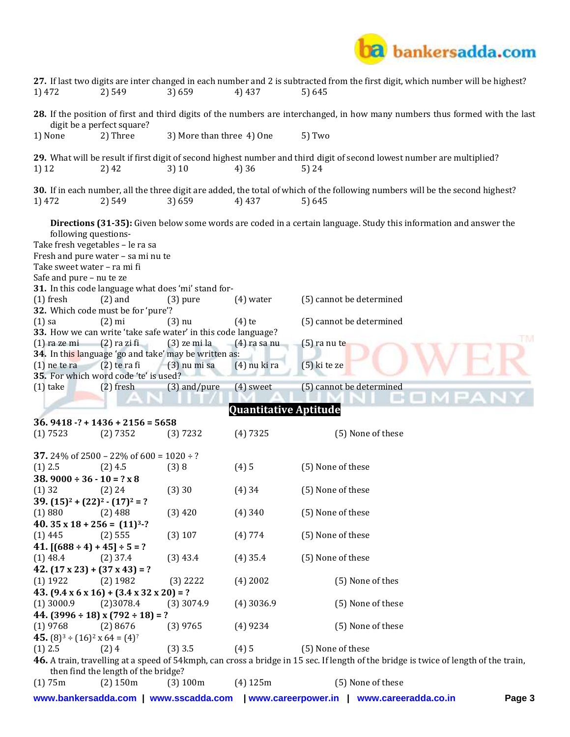

| 1) 472                                                                                                              | 2) 549                                                         | 3) 659                                                                          | 4) 437                       | 27. If last two digits are inter changed in each number and 2 is subtracted from the first digit, which number will be highest?<br>5) 645 |    |
|---------------------------------------------------------------------------------------------------------------------|----------------------------------------------------------------|---------------------------------------------------------------------------------|------------------------------|-------------------------------------------------------------------------------------------------------------------------------------------|----|
|                                                                                                                     | digit be a perfect square?                                     |                                                                                 |                              | 28. If the position of first and third digits of the numbers are interchanged, in how many numbers thus formed with the last              |    |
| 1) None                                                                                                             | 2) Three                                                       | 3) More than three 4) One                                                       |                              | 5) Two                                                                                                                                    |    |
| 1) 12                                                                                                               | 2) 42                                                          | 3)10                                                                            | 4) 36                        | 29. What will be result if first digit of second highest number and third digit of second lowest number are multiplied?<br>5) 24          |    |
| 1) 472                                                                                                              | 2) 549                                                         | 3) 659                                                                          | 4) 437                       | 30. If in each number, all the three digit are added, the total of which of the following numbers will be the second highest?<br>5) 645   |    |
| following questions-<br>Take fresh vegetables - le ra sa<br>Take sweet water - ra mi fi<br>Safe and pure - nu te ze | Fresh and pure water - sa mi nu te                             |                                                                                 |                              | Directions (31-35): Given below some words are coded in a certain language. Study this information and answer the                         |    |
|                                                                                                                     |                                                                | 31. In this code language what does 'mi' stand for-                             |                              |                                                                                                                                           |    |
| $(1)$ fresh                                                                                                         | $(2)$ and<br>32. Which code must be for 'pure'?                | $(3)$ pure                                                                      | $(4)$ water                  | (5) cannot be determined                                                                                                                  |    |
| $(1)$ sa                                                                                                            | $(2)$ mi                                                       | $(3)$ nu                                                                        | $(4)$ te                     | (5) cannot be determined                                                                                                                  |    |
| $(1)$ ra ze mi                                                                                                      | $(2)$ ra zi fi                                                 | 33. How we can write 'take safe water' in this code language?<br>$(3)$ ze mi la | $(4)$ ra sa nu               | $(5)$ ra nu te                                                                                                                            | FM |
|                                                                                                                     |                                                                | 34. In this language 'go and take' may be written as:                           |                              |                                                                                                                                           |    |
| $(1)$ ne te ra                                                                                                      | $(2)$ te ra fi<br>35. For which word code 'te' is used?        | $(3)$ nu mi sa                                                                  | $(4)$ nu ki ra               | (5) ki te ze                                                                                                                              |    |
| $(1)$ take                                                                                                          | $(2)$ fresh                                                    | (3) and/pure                                                                    | $(4)$ sweet                  | (5) cannot be determined                                                                                                                  |    |
|                                                                                                                     |                                                                |                                                                                 | <b>Quantitative Aptitude</b> |                                                                                                                                           |    |
|                                                                                                                     | $36.9418 - ? + 1436 + 2156 = 5658$                             |                                                                                 |                              |                                                                                                                                           |    |
| (1) 7523                                                                                                            | (2) 7352                                                       | (3) 7232                                                                        | (4)7325                      | (5) None of these                                                                                                                         |    |
|                                                                                                                     | <b>37.</b> 24% of 2500 – 22% of 600 = $1020 \div ?$            |                                                                                 |                              |                                                                                                                                           |    |
| $(1)$ 2.5                                                                                                           | $(2)$ 4.5                                                      | (3)8                                                                            | (4)5                         | (5) None of these                                                                                                                         |    |
| $38.9000 \div 36 - 10 = ? \times 8$<br>$(1)$ 32                                                                     | (2) 24                                                         | (3)30                                                                           | (4)34                        | (5) None of these                                                                                                                         |    |
| $39. (15)2 + (22)2 - (17)2 = ?$                                                                                     |                                                                |                                                                                 |                              |                                                                                                                                           |    |
| (1)880                                                                                                              | (2) 488                                                        | $(3)$ 420                                                                       | $(4)$ 340                    | (5) None of these                                                                                                                         |    |
| 40. $35 \times 18 + 256 = (11)^3$ -?                                                                                |                                                                |                                                                                 |                              |                                                                                                                                           |    |
| $(1)$ 445<br>41. $[(688 \div 4) + 45] \div 5 = ?$                                                                   | (2) 555                                                        | $(3)$ 107                                                                       | (4) 774                      | (5) None of these                                                                                                                         |    |
| $(1)$ 48.4                                                                                                          | $(2)$ 37.4                                                     | $(3)$ 43.4                                                                      | $(4)$ 35.4                   | (5) None of these                                                                                                                         |    |
| $42. (17 \times 23) + (37 \times 43) = ?$                                                                           |                                                                |                                                                                 |                              |                                                                                                                                           |    |
| $(1)$ 1922                                                                                                          | $(2)$ 1982                                                     | $(3)$ 2222                                                                      | $(4)$ 2002                   | (5) None of thes                                                                                                                          |    |
|                                                                                                                     | 43. $(9.4 \times 6 \times 16) + (3.4 \times 32 \times 20) = ?$ |                                                                                 |                              |                                                                                                                                           |    |
| $(1)$ 3000.9                                                                                                        | (2)3078.4<br>44. $(3996 \div 18)$ x $(792 \div 18)$ = ?        | $(3)$ 3074.9                                                                    | $(4)$ 3036.9                 | (5) None of these                                                                                                                         |    |
| $(1)$ 9768                                                                                                          | (2)8676                                                        | $(3)$ 9765                                                                      | (4)9234                      | (5) None of these                                                                                                                         |    |
| 45. $(8)^3 \div (16)^2 \times 64 = (4)^2$                                                                           |                                                                |                                                                                 |                              |                                                                                                                                           |    |
| $(1)$ 2.5                                                                                                           | (2)4                                                           | $(3)$ 3.5                                                                       | (4)5                         | (5) None of these                                                                                                                         |    |
|                                                                                                                     | then find the length of the bridge?                            |                                                                                 |                              | 46. A train, travelling at a speed of 54kmph, can cross a bridge in 15 sec. If length of the bridge is twice of length of the train,      |    |
| (1)75m                                                                                                              | $(2)$ 150 $m$                                                  | (3) 100m                                                                        | $(4)$ 125m                   | (5) None of these                                                                                                                         |    |
| www.bankersadda.com                                                                                                 |                                                                | www.sscadda.com                                                                 | www.careerpower.in           | Page 3<br>www.careeradda.co.in                                                                                                            |    |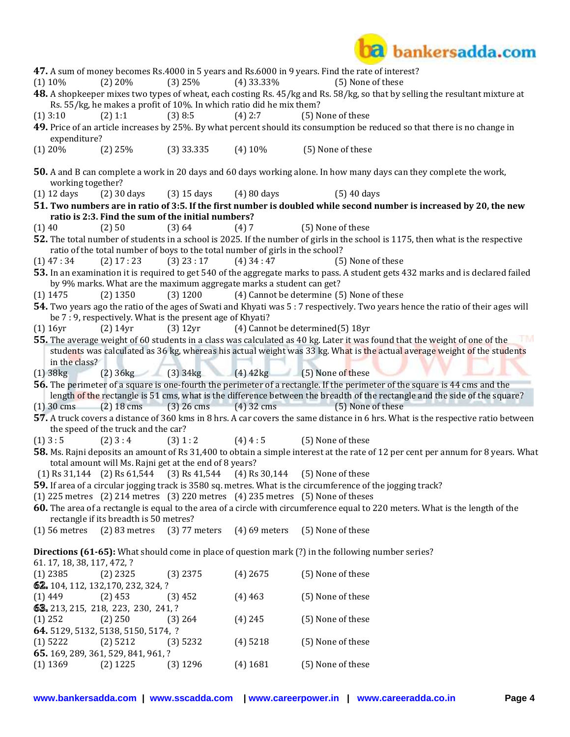

|             |                            |                                                   |                                                                               |                 | 47. A sum of money becomes Rs.4000 in 5 years and Rs.6000 in 9 years. Find the rate of interest?                                   |
|-------------|----------------------------|---------------------------------------------------|-------------------------------------------------------------------------------|-----------------|------------------------------------------------------------------------------------------------------------------------------------|
|             | $(1)$ 10%                  | $(2)$ 20%                                         | $(3)$ 25%                                                                     | $(4)$ 33.33%    | (5) None of these                                                                                                                  |
|             |                            |                                                   | Rs. 55/kg, he makes a profit of 10%. In which ratio did he mix them?          |                 | 48. A shopkeeper mixes two types of wheat, each costing Rs. 45/kg and Rs. 58/kg, so that by selling the resultant mixture at       |
|             | $(1)$ 3:10                 | (2) 1:1                                           | $(3)$ 8:5                                                                     | $(4)$ 2:7       | (5) None of these                                                                                                                  |
|             |                            |                                                   |                                                                               |                 | 49. Price of an article increases by 25%. By what percent should its consumption be reduced so that there is no change in          |
|             | expenditure?               |                                                   |                                                                               |                 |                                                                                                                                    |
|             | $(1)$ 20%                  | $(2)$ 25%                                         | $(3)$ 33.335                                                                  | $(4)$ 10%       | (5) None of these                                                                                                                  |
|             |                            |                                                   |                                                                               |                 |                                                                                                                                    |
|             | working together?          |                                                   |                                                                               |                 | <b>50.</b> A and B can complete a work in 20 days and 60 days working alone. In how many days can they complete the work,          |
|             | $(1)$ 12 days              | $(2)$ 30 days                                     | $(3)$ 15 days                                                                 | (4) 80 days     | $(5)$ 40 days                                                                                                                      |
|             |                            |                                                   |                                                                               |                 | 51. Two numbers are in ratio of 3:5. If the first number is doubled while second number is increased by 20, the new                |
|             |                            |                                                   | ratio is 2:3. Find the sum of the initial numbers?                            |                 |                                                                                                                                    |
| (1)40       |                            | (2) 50                                            | (3) 64                                                                        | (4)7            | (5) None of these                                                                                                                  |
|             |                            |                                                   |                                                                               |                 | 52. The total number of students in a school is 2025. If the number of girls in the school is 1175, then what is the respective    |
|             |                            |                                                   | ratio of the total number of boys to the total number of girls in the school? |                 |                                                                                                                                    |
|             | $(1)$ 47 : 34              | $(2)$ 17 : 23                                     | $(3)$ 23 : 17                                                                 | $(4)$ 34 : 47   | (5) None of these                                                                                                                  |
|             |                            |                                                   | by 9% marks. What are the maximum aggregate marks a student can get?          |                 | 53. In an examination it is required to get 540 of the aggregate marks to pass. A student gets 432 marks and is declared failed    |
|             | $(1)$ 1475                 | $(2)$ 1350                                        | $(3)$ 1200                                                                    |                 | (4) Cannot be determine (5) None of these                                                                                          |
|             |                            |                                                   |                                                                               |                 | 54. Two years ago the ratio of the ages of Swati and Khyati was 5:7 respectively. Two years hence the ratio of their ages will     |
|             |                            |                                                   | be 7 : 9, respectively. What is the present age of Khyati?                    |                 |                                                                                                                                    |
|             | $(1)$ 16yr                 | $(2)$ 14yr                                        | $(3)$ 12yr                                                                    |                 | (4) Cannot be determined(5) 18yr                                                                                                   |
|             |                            |                                                   |                                                                               |                 | 55. The average weight of 60 students in a class was calculated as 40 kg. Later it was found that the weight of one of the<br>ST M |
|             | in the class?              |                                                   |                                                                               |                 | students was calculated as 36 kg, whereas his actual weight was 33 kg. What is the actual average weight of the students           |
|             | $(1)$ 38 $kg$              |                                                   |                                                                               |                 | $(2)$ 36kg $(3)$ 34kg $(4)$ 42kg $(5)$ None of these                                                                               |
|             |                            |                                                   |                                                                               |                 | <b>56.</b> The perimeter of a square is one-fourth the perimeter of a rectangle. If the perimeter of the square is 44 cms and the  |
|             |                            |                                                   |                                                                               |                 | length of the rectangle is 51 cms, what is the difference between the breadth of the rectangle and the side of the square?         |
|             | $(1)$ 30 cms               | $(2)$ 18 cms                                      | $(3)$ 26 cms                                                                  | $(4)$ 32 cms    | (5) None of these                                                                                                                  |
|             |                            |                                                   |                                                                               |                 | 57. A truck covers a distance of 360 kms in 8 hrs. A car covers the same distance in 6 hrs. What is the respective ratio between   |
|             |                            | the speed of the truck and the car?               |                                                                               |                 |                                                                                                                                    |
| $(1)$ 3 : 5 |                            | $(2)$ 3 : 4                                       | (3) 1: 2                                                                      | $(4)$ 4 : 5     | (5) None of these                                                                                                                  |
|             |                            |                                                   | total amount will Ms. Rajni get at the end of 8 years?                        |                 | 58. Ms. Rajni deposits an amount of Rs 31,400 to obtain a simple interest at the rate of 12 per cent per annum for 8 years. What   |
|             |                            |                                                   | $(1)$ Rs 31,144 $(2)$ Rs 61,544 $(3)$ Rs 41,544 $(4)$ Rs 30,144               |                 | (5) None of these                                                                                                                  |
|             |                            |                                                   |                                                                               |                 | <b>59.</b> If area of a circular jogging track is 3580 sq. metres. What is the circumference of the jogging track?                 |
|             |                            |                                                   |                                                                               |                 | $(1)$ 225 metres $(2)$ 214 metres $(3)$ 220 metres $(4)$ 235 metres $(5)$ None of theses                                           |
|             |                            |                                                   |                                                                               |                 | 60. The area of a rectangle is equal to the area of a circle with circumference equal to 220 meters. What is the length of the     |
|             |                            | rectangle if its breadth is 50 metres?            |                                                                               |                 |                                                                                                                                    |
|             | $(1)$ 56 metres            | $(2)$ 83 metres                                   | $(3)$ 77 meters                                                               | $(4)$ 69 meters | (5) None of these                                                                                                                  |
|             |                            |                                                   |                                                                               |                 | <b>Directions (61-65):</b> What should come in place of question mark (?) in the following number series?                          |
|             | 61.17, 18, 38, 117, 472, ? |                                                   |                                                                               |                 |                                                                                                                                    |
|             | $(1)$ 2385                 | $(2)$ 2325                                        | $(3)$ 2375                                                                    | $(4)$ 2675      | (5) None of these                                                                                                                  |
|             |                            | 62. 104, 112, 132, 170, 232, 324, ?               |                                                                               |                 |                                                                                                                                    |
| $(1)$ 449   |                            |                                                   |                                                                               |                 |                                                                                                                                    |
|             |                            | $(2)$ 453                                         | (3)452                                                                        | $(4)$ 463       | (5) None of these                                                                                                                  |
|             |                            | 63. 213, 215, 218, 223, 230, 241, ?               |                                                                               |                 |                                                                                                                                    |
| $(1)$ 252   |                            | $(2)$ 250                                         | $(3)$ 264                                                                     | $(4)$ 245       | (5) None of these                                                                                                                  |
|             |                            | 64. 5129, 5132, 5138, 5150, 5174, ?               |                                                                               |                 |                                                                                                                                    |
|             | $(1)$ 5222                 | $(2)$ 5212                                        | $(3)$ 5232                                                                    | $(4)$ 5218      | (5) None of these                                                                                                                  |
|             | $(1)$ 1369                 | 65. 169, 289, 361, 529, 841, 961, ?<br>$(2)$ 1225 | $(3)$ 1296                                                                    | $(4)$ 1681      | (5) None of these                                                                                                                  |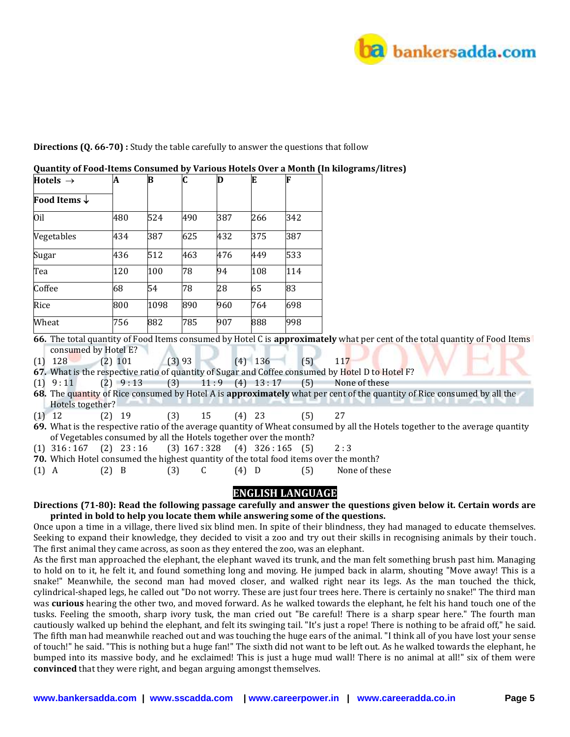

#### **Directions (Q. 66-70) :** Study the table carefully to answer the questions that follow

| Hotels $\rightarrow$           | A   | B    | C   | D   | E   | F   |  |
|--------------------------------|-----|------|-----|-----|-----|-----|--|
| <b>Food Items</b> $\downarrow$ |     |      |     |     |     |     |  |
| Oil                            | 480 | 524  | 490 | 387 | 266 | 342 |  |
| Vegetables                     | 434 | 387  | 625 | 432 | 375 | 387 |  |
| Sugar                          | 436 | 512  | 463 | 476 | 449 | 533 |  |
| Tea                            | 120 | 100  | 78  | 94  | 108 | 114 |  |
| Coffee                         | 68  | 54   | 78  | 28  | 65  | 83  |  |
| Rice                           | 800 | 1098 | 890 | 960 | 764 | 698 |  |
| Wheat                          | 756 | 882  | 785 | 907 | 888 | 998 |  |

#### **Quantity of Food-Items Consumed by Various Hotels Over a Month (In kilograms/litres)**

**66.** The total quantity of Food Items consumed by Hotel C is **approximately** what per cent of the total quantity of Food Items consumed by Hotel E?

(1) 128 (2) 101 (3) 93 (4) 136 (5) 117

**67.** What is the respective ratio of quantity of Sugar and Coffee consumed by Hotel D to Hotel F?

 $(1)$  9:11  $(2)$  9:13  $(3)$  11:9  $(4)$  13:17  $(5)$  None of these

- **68.** The quantity of Rice consumed by Hotel A is **approximately** what per cent of the quantity of Rice consumed by all the Hotels together?
- (1) 12 (2) 19 (3) 15 (4) 23 (5) 27
- **69.** What is the respective ratio of the average quantity of Wheat consumed by all the Hotels together to the average quantity of Vegetables consumed by all the Hotels together over the month?
- $(1)$  316 : 167  $(2)$  23 : 16  $(3)$  167 : 328  $(4)$  326 : 165  $(5)$  2 : 3
- **70.** Which Hotel consumed the highest quantity of the total food items over the month?
- (1) A (2) B (3) C (4) D (5) None of these

## **ENGLISH LANGUAGE**

**Directions (71-80): Read the following passage carefully and answer the questions given below it. Certain words are printed in bold to help you locate them while answering some of the questions.**

Once upon a time in a village, there lived six blind men. In spite of their blindness, they had managed to educate themselves. Seeking to expand their knowledge, they decided to visit a zoo and try out their skills in recognising animals by their touch. The first animal they came across, as soon as they entered the zoo, was an elephant.

As the first man approached the elephant, the elephant waved its trunk, and the man felt something brush past him. Managing to hold on to it, he felt it, and found something long and moving. He jumped back in alarm, shouting "Move away! This is a snake!" Meanwhile, the second man had moved closer, and walked right near its legs. As the man touched the thick, cylindrical-shaped legs, he called out "Do not worry. These are just four trees here. There is certainly no snake!" The third man was **curious** hearing the other two, and moved forward. As he walked towards the elephant, he felt his hand touch one of the tusks. Feeling the smooth, sharp ivory tusk, the man cried out "Be careful! There is a sharp spear here." The fourth man cautiously walked up behind the elephant, and felt its swinging tail. "It's just a rope! There is nothing to be afraid off," he said. The fifth man had meanwhile reached out and was touching the huge ears of the animal. "I think all of you have lost your sense of touch!" he said. "This is nothing but a huge fan!" The sixth did not want to be left out. As he walked towards the elephant, he bumped into its massive body, and he exclaimed! This is just a huge mud wall! There is no animal at all!" six of them were **convinced** that they were right, and began arguing amongst themselves.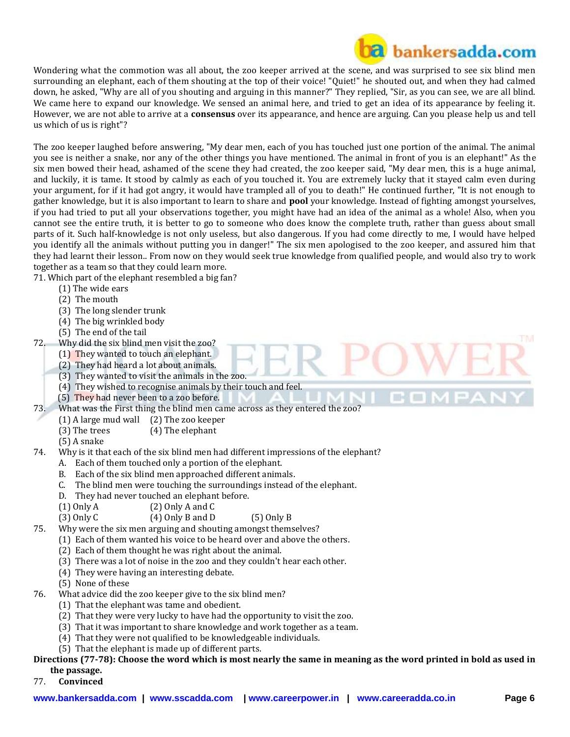

Wondering what the commotion was all about, the zoo keeper arrived at the scene, and was surprised to see six blind men surrounding an elephant, each of them shouting at the top of their voice! "Quiet!" he shouted out, and when they had calmed down, he asked, "Why are all of you shouting and arguing in this manner?" They replied, "Sir, as you can see, we are all blind. We came here to expand our knowledge. We sensed an animal here, and tried to get an idea of its appearance by feeling it. However, we are not able to arrive at a **consensus** over its appearance, and hence are arguing. Can you please help us and tell us which of us is right"?

The zoo keeper laughed before answering, "My dear men, each of you has touched just one portion of the animal. The animal you see is neither a snake, nor any of the other things you have mentioned. The animal in front of you is an elephant!" As the six men bowed their head, ashamed of the scene they had created, the zoo keeper said, "My dear men, this is a huge animal, and luckily, it is tame. It stood by calmly as each of you touched it. You are extremely lucky that it stayed calm even during your argument, for if it had got angry, it would have trampled all of you to death!" He continued further, "It is not enough to gather knowledge, but it is also important to learn to share and **pool** your knowledge. Instead of fighting amongst yourselves, if you had tried to put all your observations together, you might have had an idea of the animal as a whole! Also, when you cannot see the entire truth, it is better to go to someone who does know the complete truth, rather than guess about small parts of it. Such half-knowledge is not only useless, but also dangerous. If you had come directly to me, I would have helped you identify all the animals without putting you in danger!" The six men apologised to the zoo keeper, and assured him that they had learnt their lesson.. From now on they would seek true knowledge from qualified people, and would also try to work together as a team so that they could learn more.

71. Which part of the elephant resembled a big fan?

- (1) The wide ears
- (2) The mouth
- (3) The long slender trunk
- (4) The big wrinkled body
- (5) The end of the tail
- 72. Why did the six blind men visit the zoo?
	- (1) They wanted to touch an elephant.
	- (2) They had heard a lot about animals.
	- (3) They wanted to visit the animals in the zoo.
	- (4) They wished to recognise animals by their touch and feel.
	- (5) They had never been to a zoo before.
- 73. What was the First thing the blind men came across as they entered the zoo?
	- (1) A large mud wall (2) The zoo keeper
	- (3) The trees (4) The elephant
	- (5) A snake
- 74. Why is it that each of the six blind men had different impressions of the elephant?
	- A. Each of them touched only a portion of the elephant.
	- B. Each of the six blind men approached different animals.
	- C. The blind men were touching the surroundings instead of the elephant.
	- D. They had never touched an elephant before.
	- $(1)$  Only A (2) Only A and C

```
(3) Only C (4) Only B and D (5) Only B
```
75. Why were the six men arguing and shouting amongst themselves?

- (1) Each of them wanted his voice to be heard over and above the others.
- (2) Each of them thought he was right about the animal.
- (3) There was a lot of noise in the zoo and they couldn't hear each other.
- (4) They were having an interesting debate.
- (5) None of these
- 76. What advice did the zoo keeper give to the six blind men?
	- (1) That the elephant was tame and obedient.
	- (2) That they were very lucky to have had the opportunity to visit the zoo.
	- (3) That it was important to share knowledge and work together as a team.
	- (4) That they were not qualified to be knowledgeable individuals.
	- (5) That the elephant is made up of different parts.

## **Directions (77-78): Choose the word which is most nearly the same in meaning as the word printed in bold as used in the passage.**

77. **Convinced**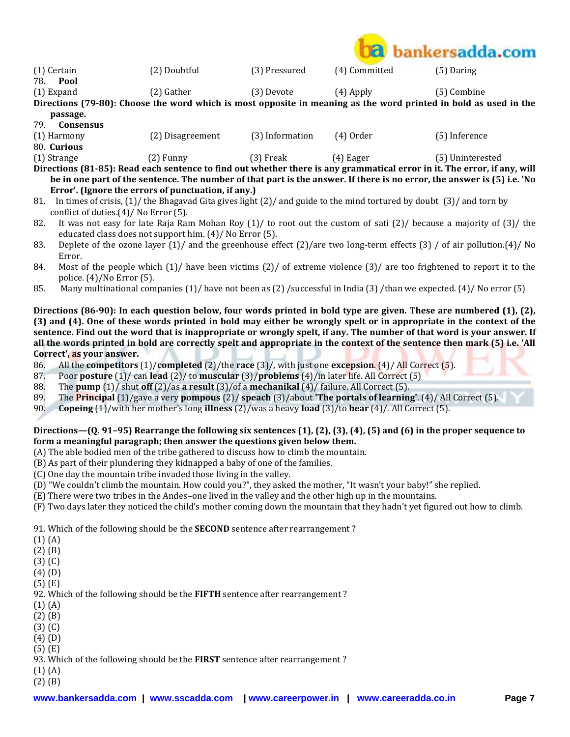

(1) Certain (2) Doubtful (3) Pressured (4) Committed (5) Daring

78. **Pool** 

(1) Expand (2) Gather (3) Devote (4) Apply (5) Combine

**Directions (79-80): Choose the word which is most opposite in meaning as the word printed in bold as used in the passage.**

79. **Consensus** 

| .<br>------------ |                  |                 |           |               |
|-------------------|------------------|-----------------|-----------|---------------|
| (1) Harmony       | (2) Disagreement | (3) Information | (4) Order | (5) Inference |
| 80. Curious       |                  |                 |           |               |

(1) Strange (2) Funny (3) Freak (4) Eager (5) Uninterested **Directions (81-85): Read each sentence to find out whether there is any grammatical error in it. The error, if any, will be in one part of the sentence. The number of that part is the answer. If there is no error, the answer is (5) i.e. 'No Error'. (Ignore the errors of punctuation, if any.)**

- 81. In times of crisis, (1)/ the Bhagavad Gita gives light (2)/ and guide to the mind tortured by doubt (3)/ and torn by conflict of duties.(4)/ No Error (5).
- 82. It was not easy for late Raja Ram Mohan Roy (1)/ to root out the custom of sati (2)/ because a majority of (3)/ the educated class does not support him. (4)/ No Error (5).
- 83. Deplete of the ozone layer (1)/ and the greenhouse effect (2)/are two long-term effects (3) / of air pollution.(4)/ No Error.
- 84. Most of the people which (1)/ have been victims (2)/ of extreme violence (3)/ are too frightened to report it to the police. (4)/No Error (5).
- 85. Many multinational companies (1)/ have not been as (2) /successful in India (3) /than we expected. (4)/ No error (5)

**Directions (86-90): In each question below, four words printed in bold type are given. These are numbered (1), (2), (3) and (4). One of these words printed in bold may either be wrongly spelt or in appropriate in the context of the sentence. Find out the word that is inappropriate or wrongly spelt, if any. The number of that word is your answer. If all the words printed in bold are correctly spelt and appropriate in the context of the sentence then mark (5) i.e. 'All Correct', as your answer.**

- 86. All the **competitors** (1)/**completed** (2)/the **race** (3)/, with just one **excepsion**. (4)/ All Correct (5).
- 87. Poor **posture** (1)/ can **lead** (2)/ to **muscular** (3)/**problems** (4)/in later life. All Correct (5)
- 88. The **pump** (1)/ shut **off** (2)/as **a result** (3)/of a **mechanikal** (4)/ failure. All Correct (5).
- 89. The **Principal** (1)/gave a very **pompous** (2)/ **speach** (3)/about **'The portals of learning'**. (4)/ All Correct (5).
- 90. **Copeing** (1)/with her mother's long **illness** (2)/was a heavy **load** (3)/to **bear** (4)/. All Correct (5).

### **Directions—(Q. 91–95) Rearrange the following six sentences (1), (2), (3), (4), (5) and (6) in the proper sequence to form a meaningful paragraph; then answer the questions given below them.**

- (A) The able bodied men of the tribe gathered to discuss how to climb the mountain.
- (B) As part of their plundering they kidnapped a baby of one of the families.
- (C) One day the mountain tribe invaded those living in the valley.
- (D) "We couldn't climb the mountain. How could you?", they asked the mother, "It wasn't your baby!" she replied.
- (E) There were two tribes in the Andes–one lived in the valley and the other high up in the mountains.
- (F) Two days later they noticed the child's mother coming down the mountain that they hadn't yet figured out how to climb.

91. Which of the following should be the **SECOND** sentence after rearrangement ?

- (1) (A)
- (2) (B)
- (3) (C)
- (4) (D)
- (5) (E)

92. Which of the following should be the **FIFTH** sentence after rearrangement ?

- (1) (A)
- (2) (B)
- (3) (C) (4) (D)
- (5) (E)
- 93. Which of the following should be the **FIRST** sentence after rearrangement ?
- (1) (A)
- (2) (B)